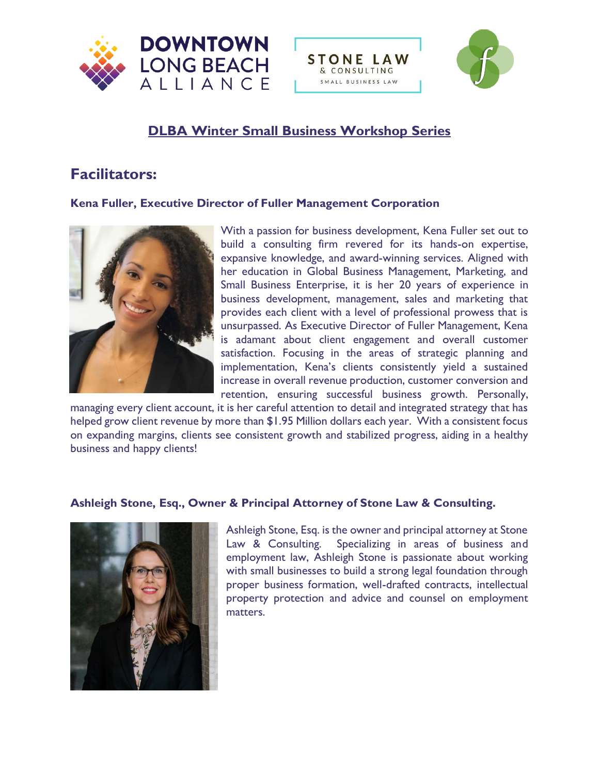





# **DLBA Winter Small Business Workshop Series**

# **Facilitators:**

## **Kena Fuller, Executive Director of Fuller Management Corporation**



With a passion for business development, Kena Fuller set out to build a consulting firm revered for its hands-on expertise, expansive knowledge, and award-winning services. Aligned with her education in Global Business Management, Marketing, and Small Business Enterprise, it is her 20 years of experience in business development, management, sales and marketing that provides each client with a level of professional prowess that is unsurpassed. As Executive Director of Fuller Management, Kena is adamant about client engagement and overall customer satisfaction. Focusing in the areas of strategic planning and implementation, Kena's clients consistently yield a sustained increase in overall revenue production, customer conversion and retention, ensuring successful business growth. Personally,

managing every client account, it is her careful attention to detail and integrated strategy that has helped grow client revenue by more than \$1.95 Million dollars each year. With a consistent focus on expanding margins, clients see consistent growth and stabilized progress, aiding in a healthy business and happy clients!

## **Ashleigh Stone, Esq., Owner & Principal Attorney of Stone Law & Consulting.**



Ashleigh Stone, Esq. is the owner and principal attorney at Stone Law & Consulting. Specializing in areas of business and employment law, Ashleigh Stone is passionate about working with small businesses to build a strong legal foundation through proper business formation, well-drafted contracts, intellectual property protection and advice and counsel on employment matters.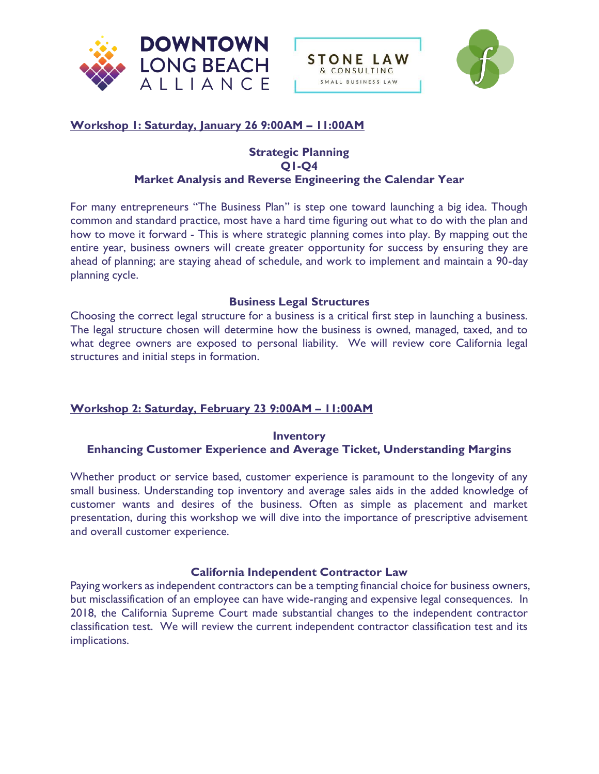





# **Workshop 1: Saturday, January 26 9:00AM – 11:00AM**

### **Strategic Planning Q1-Q4 Market Analysis and Reverse Engineering the Calendar Year**

For many entrepreneurs "The Business Plan" is step one toward launching a big idea. Though common and standard practice, most have a hard time figuring out what to do with the plan and how to move it forward - This is where strategic planning comes into play. By mapping out the entire year, business owners will create greater opportunity for success by ensuring they are ahead of planning; are staying ahead of schedule, and work to implement and maintain a 90-day planning cycle.

#### **Business Legal Structures**

Choosing the correct legal structure for a business is a critical first step in launching a business. The legal structure chosen will determine how the business is owned, managed, taxed, and to what degree owners are exposed to personal liability. We will review core California legal structures and initial steps in formation.

## **Workshop 2: Saturday, February 23 9:00AM – 11:00AM**

#### **Inventory Enhancing Customer Experience and Average Ticket, Understanding Margins**

Whether product or service based, customer experience is paramount to the longevity of any small business. Understanding top inventory and average sales aids in the added knowledge of customer wants and desires of the business. Often as simple as placement and market presentation, during this workshop we will dive into the importance of prescriptive advisement and overall customer experience.

## **California Independent Contractor Law**

Paying workers as independent contractors can be a tempting financial choice for business owners, but misclassification of an employee can have wide-ranging and expensive legal consequences. In 2018, the California Supreme Court made substantial changes to the independent contractor classification test. We will review the current independent contractor classification test and its implications.